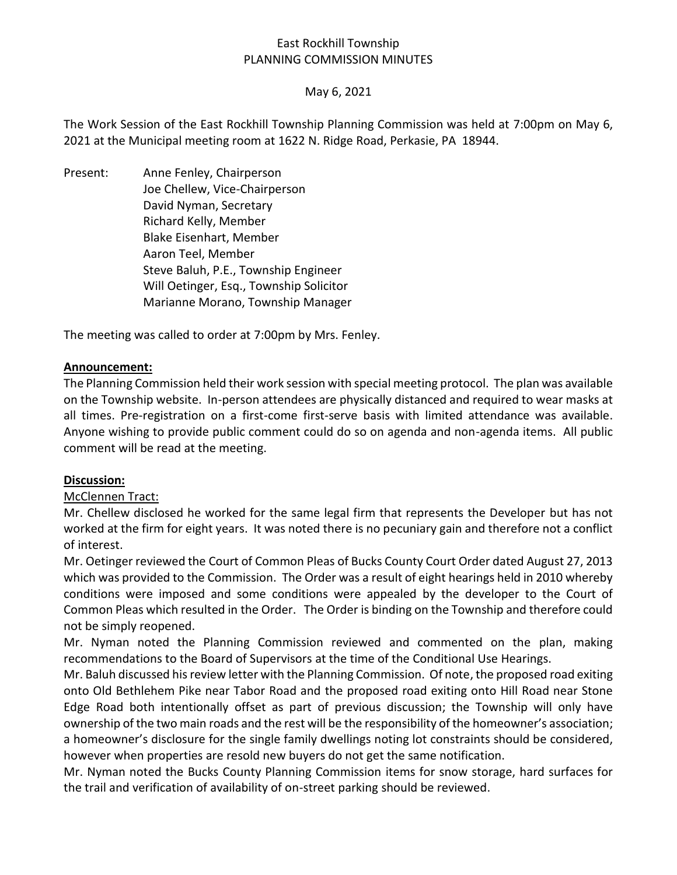# East Rockhill Township PLANNING COMMISSION MINUTES

## May 6, 2021

The Work Session of the East Rockhill Township Planning Commission was held at 7:00pm on May 6, 2021 at the Municipal meeting room at 1622 N. Ridge Road, Perkasie, PA 18944.

Present: Anne Fenley, Chairperson Joe Chellew, Vice-Chairperson David Nyman, Secretary Richard Kelly, Member Blake Eisenhart, Member Aaron Teel, Member Steve Baluh, P.E., Township Engineer Will Oetinger, Esq., Township Solicitor Marianne Morano, Township Manager

The meeting was called to order at 7:00pm by Mrs. Fenley.

## **Announcement:**

The Planning Commission held their work session with special meeting protocol. The plan was available on the Township website. In-person attendees are physically distanced and required to wear masks at all times. Pre-registration on a first-come first-serve basis with limited attendance was available. Anyone wishing to provide public comment could do so on agenda and non-agenda items. All public comment will be read at the meeting.

### **Discussion:**

### McClennen Tract:

Mr. Chellew disclosed he worked for the same legal firm that represents the Developer but has not worked at the firm for eight years. It was noted there is no pecuniary gain and therefore not a conflict of interest.

Mr. Oetinger reviewed the Court of Common Pleas of Bucks County Court Order dated August 27, 2013 which was provided to the Commission. The Order was a result of eight hearings held in 2010 whereby conditions were imposed and some conditions were appealed by the developer to the Court of Common Pleas which resulted in the Order. The Order is binding on the Township and therefore could not be simply reopened.

Mr. Nyman noted the Planning Commission reviewed and commented on the plan, making recommendations to the Board of Supervisors at the time of the Conditional Use Hearings.

Mr. Baluh discussed his review letter with the Planning Commission. Of note, the proposed road exiting onto Old Bethlehem Pike near Tabor Road and the proposed road exiting onto Hill Road near Stone Edge Road both intentionally offset as part of previous discussion; the Township will only have ownership of the two main roads and the rest will be the responsibility of the homeowner's association; a homeowner's disclosure for the single family dwellings noting lot constraints should be considered, however when properties are resold new buyers do not get the same notification.

Mr. Nyman noted the Bucks County Planning Commission items for snow storage, hard surfaces for the trail and verification of availability of on-street parking should be reviewed.